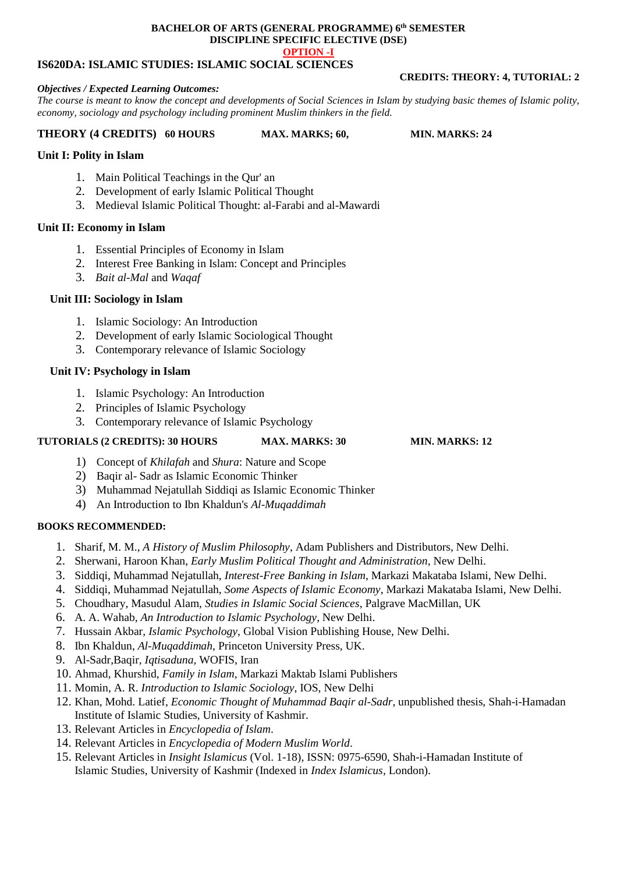#### **BACHELOR OF ARTS (GENERAL PROGRAMME) 6 th SEMESTER DISCIPLINE SPECIFIC ELECTIVE (DSE) OPTION -I**

### **IS620DA: ISLAMIC STUDIES: ISLAMIC SOCIAL SCIENCES**

#### *Objectives / Expected Learning Outcomes:*

*The course is meant to know the concept and developments of Social Sciences in Islam by studying basic themes of Islamic polity, economy, sociology and psychology including prominent Muslim thinkers in the field.*

### **THEORY (4 CREDITS) 60 HOURS MAX. MARKS; 60, MIN. MARKS: 24**

### **Unit I: Polity in Islam**

- 1. Main Political Teachings in the Qur' an
- 2. Development of early Islamic Political Thought
- 3. Medieval Islamic Political Thought: al-Farabi and al-Mawardi

### **Unit II: Economy in Islam**

- 1. Essential Principles of Economy in Islam
- 2. Interest Free Banking in Islam: Concept and Principles
- 3. *Bait al-Mal* and *Waqaf*

### **Unit III: Sociology in Islam**

- 1. Islamic Sociology: An Introduction
- 2. Development of early Islamic Sociological Thought
- 3. Contemporary relevance of Islamic Sociology

### **Unit IV: Psychology in Islam**

- 1. Islamic Psychology: An Introduction
- 2. Principles of Islamic Psychology
- 3. Contemporary relevance of Islamic Psychology

### **TUTORIALS (2 CREDITS): 30 HOURS MAX. MARKS: 30 MIN. MARKS: 12**

- 1) Concept of *Khilafah* and *Shura*: Nature and Scope
- 2) Baqir al- Sadr as Islamic Economic Thinker
- 3) Muhammad Nejatullah Siddiqi as Islamic Economic Thinker
- 4) An Introduction to Ibn Khaldun's *Al-Muqaddimah*

### **BOOKS RECOMMENDED:**

- 1. Sharif, M. M., *A History of Muslim Philosophy*, Adam Publishers and Distributors, New Delhi.
- 2. Sherwani, Haroon Khan, *Early Muslim Political Thought and Administration*, New Delhi.
- 3. Siddiqi, Muhammad Nejatullah, *Interest-Free Banking in Islam*, Markazi Makataba Islami, New Delhi.
- 4. Siddiqi, Muhammad Nejatullah, *Some Aspects of Islamic Economy*, Markazi Makataba Islami, New Delhi.
- 5. Choudhary, Masudul Alam, *Studies in Islamic Social Sciences*, Palgrave MacMillan, UK
- 6. A. A. Wahab, *An Introduction to Islamic Psychology*, New Delhi.
- 7. Hussain Akbar, *Islamic Psychology*, Global Vision Publishing House, New Delhi.
- 8. Ibn Khaldun, *Al-Muqaddimah*, Princeton University Press, UK.
- 9. Al-Sadr,Baqir, *Iqtisaduna*, WOFIS, Iran
- 10. Ahmad, Khurshid, *Family in Islam*, Markazi Maktab Islami Publishers
- 11. Momin, A. R. *Introduction to Islamic Sociology*, IOS, New Delhi
- 12. Khan, Mohd. Latief, *Economic Thought of Muhammad Baqir al-Sadr*, unpublished thesis, Shah-i-Hamadan Institute of Islamic Studies, University of Kashmir.
- 13. Relevant Articles in *Encyclopedia of Islam*.
- 14. Relevant Articles in *Encyclopedia of Modern Muslim World*.
- 15. Relevant Articles in *Insight Islamicus* (Vol. 1-18), ISSN: 0975-6590, Shah-i-Hamadan Institute of Islamic Studies, University of Kashmir (Indexed in *Index Islamicus*, London).

# **CREDITS: THEORY: 4, TUTORIAL: 2**